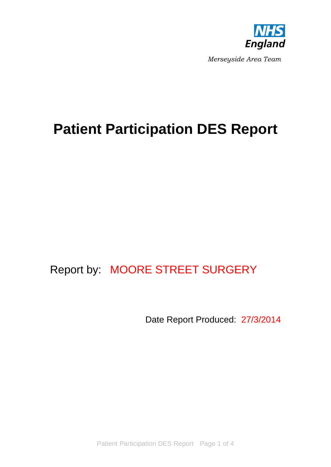

*Merseyside Area Team*

# **Patient Participation DES Report**

# Report by: MOORE STREET SURGERY

Date Report Produced: 27/3/2014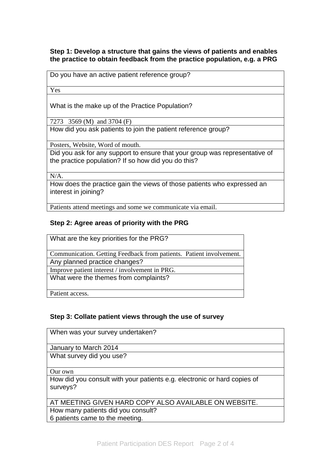## **Step 1: Develop a structure that gains the views of patients and enables the practice to obtain feedback from the practice population, e.g. a PRG**

|  |  |  |  | Do you have an active patient reference group? |  |
|--|--|--|--|------------------------------------------------|--|
|--|--|--|--|------------------------------------------------|--|

Yes

What is the make up of the Practice Population?

7273 3569 (M) and 3704 (F)

How did you ask patients to join the patient reference group?

Posters, Website, Word of mouth.

Did you ask for any support to ensure that your group was representative of the practice population? If so how did you do this?

 $N/A$ .

How does the practice gain the views of those patients who expressed an interest in joining?

Patients attend meetings and some we communicate via email.

#### **Step 2: Agree areas of priority with the PRG**

What are the key priorities for the PRG? Communication. Getting Feedback from patients. Patient involvement. Any planned practice changes? Improve patient interest / involvement in PRG. What were the themes from complaints? Patient access.

**Step 3: Collate patient views through the use of survey**

When was your survey undertaken? January to March 2014 What survey did you use? Our own How did you consult with your patients e.g. electronic or hard copies of surveys? AT MEETING GIVEN HARD COPY ALSO AVAILABLE ON WEBSITE. How many patients did you consult? 6 patients came to the meeting.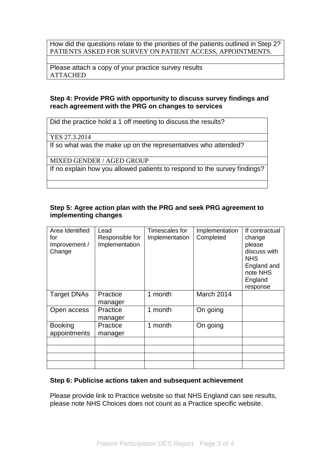How did the questions relate to the priorities of the patients outlined in Step 2? PATIENTS ASKED FOR SURVEY ON PATIENT ACCESS, APPOINTMENTS.

Please attach a copy of your practice survey results ATTACHED

## **Step 4: Provide PRG with opportunity to discuss survey findings and reach agreement with the PRG on changes to services**

Did the practice hold a 1 off meeting to discuss the results?

YES 27.3.2014

If so what was the make up on the representatives who attended?

MIXED GENDER / AGED GROUP

If no explain how you allowed patients to respond to the survey findings?

#### **Step 5: Agree action plan with the PRG and seek PRG agreement to implementing changes**

| Area Identified<br>for<br>Improvement /<br>Change | Lead<br>Responsible for<br>Implementation | Timescales for<br>Implementation | Implementation<br>Completed | If contractual<br>change<br>please<br>discuss with<br><b>NHS</b><br>England and<br>note NHS<br>England<br>response |
|---------------------------------------------------|-------------------------------------------|----------------------------------|-----------------------------|--------------------------------------------------------------------------------------------------------------------|
| <b>Target DNAs</b>                                | Practice<br>manager                       | 1 month                          | March 2014                  |                                                                                                                    |
| Open access                                       | Practice<br>manager                       | 1 month                          | On going                    |                                                                                                                    |
| <b>Booking</b><br>appointments                    | Practice<br>manager                       | 1 month                          | On going                    |                                                                                                                    |
|                                                   |                                           |                                  |                             |                                                                                                                    |
|                                                   |                                           |                                  |                             |                                                                                                                    |
|                                                   |                                           |                                  |                             |                                                                                                                    |
|                                                   |                                           |                                  |                             |                                                                                                                    |

#### **Step 6: Publicise actions taken and subsequent achievement**

Please provide link to Practice website so that NHS England can see results, please note NHS Choices does not count as a Practice specific website.